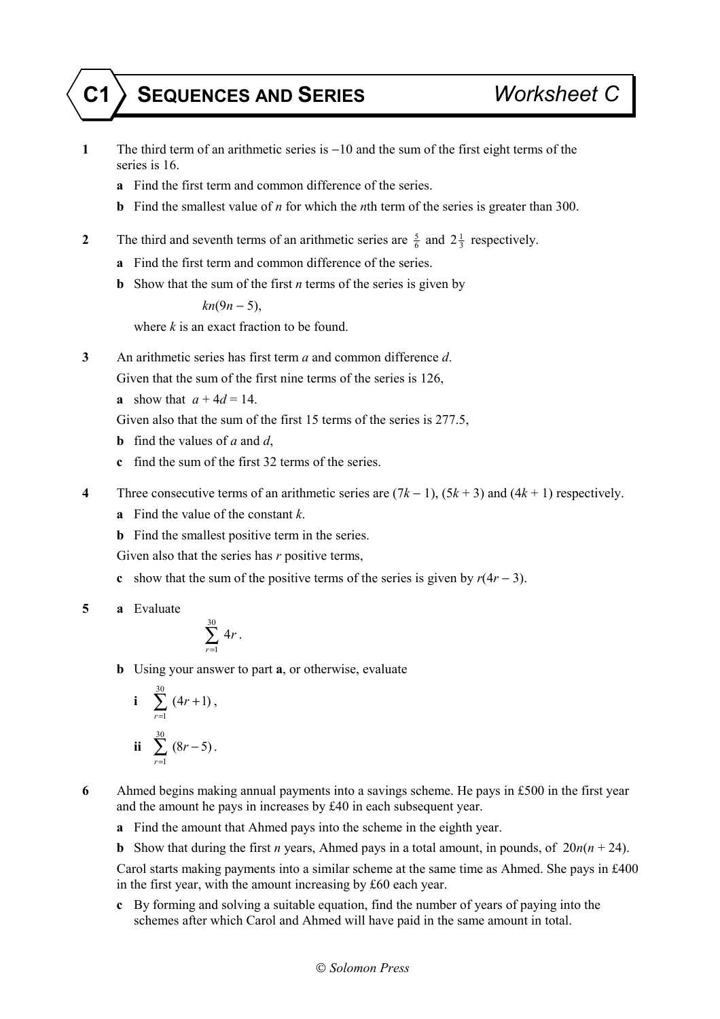## **C1 SEQUENCES AND SERIES** *Worksheet C*

- **1** The third term of an arithmetic series is −10 and the sum of the first eight terms of the series is 16.
	- **a** Find the first term and common difference of the series.
	- **b** Find the smallest value of *n* for which the *n*th term of the series is greater than 300.
- **2** The third and seventh terms of an arithmetic series are  $\frac{5}{6}$  and  $2\frac{1}{3}$  respectively.
	- **a** Find the first term and common difference of the series.
	- **b** Show that the sum of the first *n* terms of the series is given by

*kn*(9*n* − 5),

where *k* is an exact fraction to be found.

**3** An arithmetic series has first term *a* and common difference *d*.

Given that the sum of the first nine terms of the series is 126,

**a** show that  $a + 4d = 14$ .

Given also that the sum of the first 15 terms of the series is 277.5,

- **b** find the values of *a* and *d*,
- **c** find the sum of the first 32 terms of the series.
- **4** Three consecutive terms of an arithmetic series are (7*k* − 1), (5*k* + 3) and (4*k* + 1) respectively.
	- **a** Find the value of the constant *k*.
	- **b** Find the smallest positive term in the series.

Given also that the series has *r* positive terms,

- **c** show that the sum of the positive terms of the series is given by  $r(4r 3)$ .
- **5 a** Evaluate

$$
\sum_{r=1}^{30} 4r.
$$

**b** Using your answer to part **a**, or otherwise, evaluate

i 
$$
\sum_{r=1}^{30} (4r+1)
$$
,  
ii  $\sum_{r=1}^{30} (8r-5)$ .

**6** Ahmed begins making annual payments into a savings scheme. He pays in £500 in the first year and the amount he pays in increases by £40 in each subsequent year.

- **a** Find the amount that Ahmed pays into the scheme in the eighth year.
- **b** Show that during the first *n* years, Ahmed pays in a total amount, in pounds, of  $20n(n + 24)$ .

 Carol starts making payments into a similar scheme at the same time as Ahmed. She pays in £400 in the first year, with the amount increasing by £60 each year.

**c** By forming and solving a suitable equation, find the number of years of paying into the schemes after which Carol and Ahmed will have paid in the same amount in total.